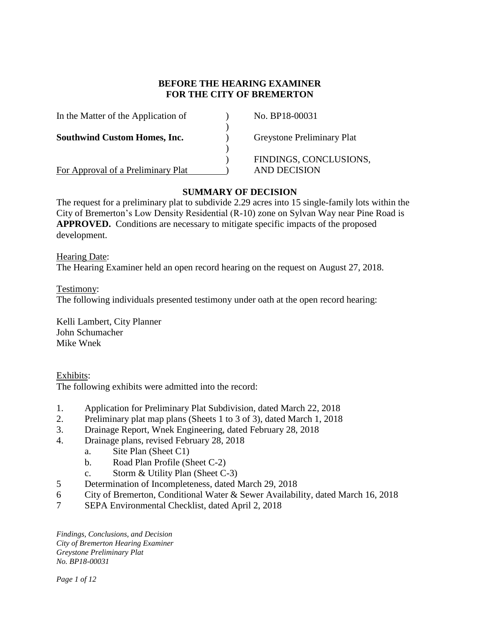# **BEFORE THE HEARING EXAMINER FOR THE CITY OF BREMERTON**

| In the Matter of the Application of | No. BP18-00031                         |
|-------------------------------------|----------------------------------------|
| <b>Southwind Custom Homes, Inc.</b> | <b>Greystone Preliminary Plat</b>      |
| For Approval of a Preliminary Plat  | FINDINGS, CONCLUSIONS,<br>AND DECISION |

# **SUMMARY OF DECISION**

The request for a preliminary plat to subdivide 2.29 acres into 15 single-family lots within the City of Bremerton's Low Density Residential (R-10) zone on Sylvan Way near Pine Road is **APPROVED.** Conditions are necessary to mitigate specific impacts of the proposed development.

### Hearing Date:

The Hearing Examiner held an open record hearing on the request on August 27, 2018.

#### Testimony:

The following individuals presented testimony under oath at the open record hearing:

Kelli Lambert, City Planner John Schumacher Mike Wnek

Exhibits: The following exhibits were admitted into the record:

- 1. Application for Preliminary Plat Subdivision, dated March 22, 2018
- 2. Preliminary plat map plans (Sheets 1 to 3 of 3), dated March 1, 2018
- 3. Drainage Report, Wnek Engineering, dated February 28, 2018
- 4. Drainage plans, revised February 28, 2018
	- a. Site Plan (Sheet C1)
	- b. Road Plan Profile (Sheet C-2)
	- c. Storm & Utility Plan (Sheet C-3)
- 5 Determination of Incompleteness, dated March 29, 2018
- 6 City of Bremerton, Conditional Water & Sewer Availability, dated March 16, 2018
- 7 SEPA Environmental Checklist, dated April 2, 2018

*Findings, Conclusions, and Decision City of Bremerton Hearing Examiner Greystone Preliminary Plat No. BP18-00031*

*Page 1 of 12*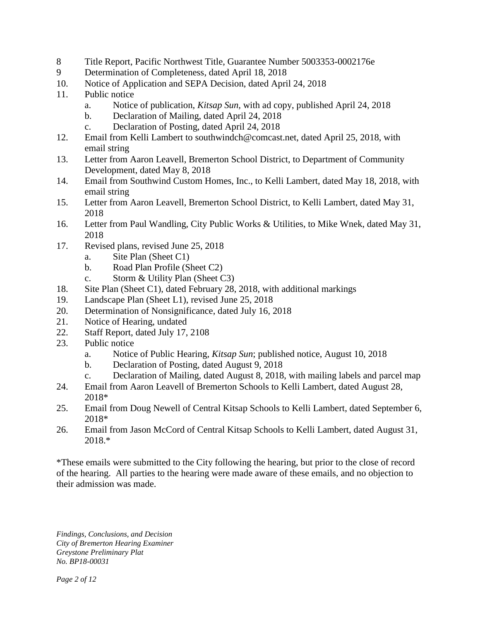- 8 Title Report, Pacific Northwest Title, Guarantee Number 5003353-0002176e
- 9 Determination of Completeness, dated April 18, 2018
- 10. Notice of Application and SEPA Decision, dated April 24, 2018
- 11. Public notice
	- a. Notice of publication, *Kitsap Sun,* with ad copy, published April 24, 2018
	- b. Declaration of Mailing, dated April 24, 2018
	- c. Declaration of Posting, dated April 24, 2018
- 12. Email from Kelli Lambert to southwindch@comcast.net, dated April 25, 2018, with email string
- 13. Letter from Aaron Leavell, Bremerton School District, to Department of Community Development, dated May 8, 2018
- 14. Email from Southwind Custom Homes, Inc., to Kelli Lambert, dated May 18, 2018, with email string
- 15. Letter from Aaron Leavell, Bremerton School District, to Kelli Lambert, dated May 31, 2018
- 16. Letter from Paul Wandling, City Public Works & Utilities, to Mike Wnek, dated May 31, 2018
- 17. Revised plans, revised June 25, 2018
	- a. Site Plan (Sheet C1)
	- b. Road Plan Profile (Sheet C2)
	- c. Storm & Utility Plan (Sheet C3)
- 18. Site Plan (Sheet C1), dated February 28, 2018, with additional markings
- 19. Landscape Plan (Sheet L1), revised June 25, 2018
- 20. Determination of Nonsignificance, dated July 16, 2018
- 21. Notice of Hearing, undated
- 22. Staff Report, dated July 17, 2108
- 23. Public notice
	- a. Notice of Public Hearing, *Kitsap Sun*; published notice, August 10, 2018
	- b. Declaration of Posting, dated August 9, 2018
	- c. Declaration of Mailing, dated August 8, 2018, with mailing labels and parcel map
- 24. Email from Aaron Leavell of Bremerton Schools to Kelli Lambert, dated August 28, 2018\*
- 25. Email from Doug Newell of Central Kitsap Schools to Kelli Lambert, dated September 6, 2018\*
- 26. Email from Jason McCord of Central Kitsap Schools to Kelli Lambert, dated August 31, 2018.\*

\*These emails were submitted to the City following the hearing, but prior to the close of record of the hearing. All parties to the hearing were made aware of these emails, and no objection to their admission was made.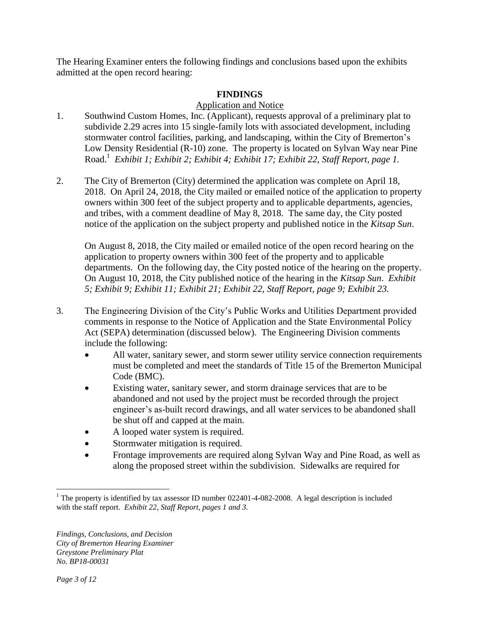The Hearing Examiner enters the following findings and conclusions based upon the exhibits admitted at the open record hearing:

# **FINDINGS**

# Application and Notice

- 1. Southwind Custom Homes, Inc. (Applicant), requests approval of a preliminary plat to subdivide 2.29 acres into 15 single-family lots with associated development, including stormwater control facilities, parking, and landscaping, within the City of Bremerton's Low Density Residential (R-10) zone. The property is located on Sylvan Way near Pine Road.<sup>1</sup> *Exhibit 1; Exhibit 2; Exhibit 4; Exhibit 17; Exhibit 22, Staff Report, page 1.*
- 2. The City of Bremerton (City) determined the application was complete on April 18, 2018. On April 24, 2018, the City mailed or emailed notice of the application to property owners within 300 feet of the subject property and to applicable departments, agencies, and tribes, with a comment deadline of May 8, 2018. The same day, the City posted notice of the application on the subject property and published notice in the *Kitsap Sun*.

On August 8, 2018, the City mailed or emailed notice of the open record hearing on the application to property owners within 300 feet of the property and to applicable departments. On the following day, the City posted notice of the hearing on the property. On August 10, 2018, the City published notice of the hearing in the *Kitsap Sun*. *Exhibit 5; Exhibit 9; Exhibit 11; Exhibit 21; Exhibit 22, Staff Report, page 9; Exhibit 23.*

- 3. The Engineering Division of the City's Public Works and Utilities Department provided comments in response to the Notice of Application and the State Environmental Policy Act (SEPA) determination (discussed below). The Engineering Division comments include the following:
	- All water, sanitary sewer, and storm sewer utility service connection requirements must be completed and meet the standards of Title 15 of the Bremerton Municipal Code (BMC).
	- Existing water, sanitary sewer, and storm drainage services that are to be abandoned and not used by the project must be recorded through the project engineer's as-built record drawings, and all water services to be abandoned shall be shut off and capped at the main.
	- A looped water system is required.
	- Stormwater mitigation is required.
	- Frontage improvements are required along Sylvan Way and Pine Road, as well as along the proposed street within the subdivision. Sidewalks are required for

 $\overline{a}$  $1$ <sup>1</sup> The property is identified by tax assessor ID number 022401-4-082-2008. A legal description is included with the staff report. *Exhibit 22, Staff Report, pages 1 and 3.*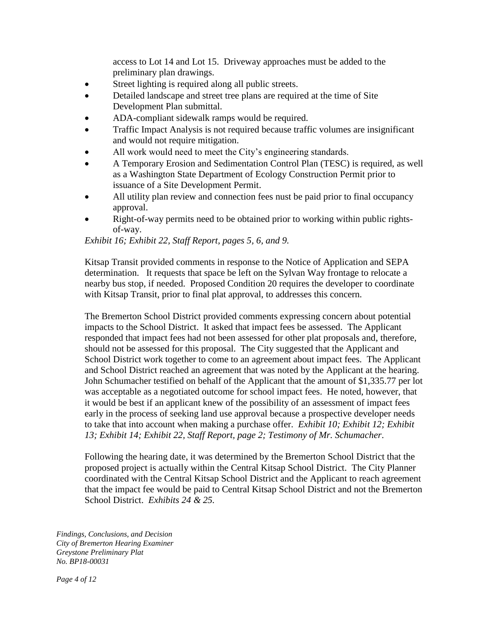access to Lot 14 and Lot 15. Driveway approaches must be added to the preliminary plan drawings.

- Street lighting is required along all public streets.
- Detailed landscape and street tree plans are required at the time of Site Development Plan submittal.
- ADA-compliant sidewalk ramps would be required.
- Traffic Impact Analysis is not required because traffic volumes are insignificant and would not require mitigation.
- All work would need to meet the City's engineering standards.
- A Temporary Erosion and Sedimentation Control Plan (TESC) is required, as well as a Washington State Department of Ecology Construction Permit prior to issuance of a Site Development Permit.
- All utility plan review and connection fees nust be paid prior to final occupancy approval.
- Right-of-way permits need to be obtained prior to working within public rightsof-way.

*Exhibit 16; Exhibit 22, Staff Report, pages 5, 6, and 9.* 

Kitsap Transit provided comments in response to the Notice of Application and SEPA determination. It requests that space be left on the Sylvan Way frontage to relocate a nearby bus stop, if needed. Proposed Condition 20 requires the developer to coordinate with Kitsap Transit, prior to final plat approval, to addresses this concern.

The Bremerton School District provided comments expressing concern about potential impacts to the School District. It asked that impact fees be assessed. The Applicant responded that impact fees had not been assessed for other plat proposals and, therefore, should not be assessed for this proposal. The City suggested that the Applicant and School District work together to come to an agreement about impact fees. The Applicant and School District reached an agreement that was noted by the Applicant at the hearing. John Schumacher testified on behalf of the Applicant that the amount of \$1,335.77 per lot was acceptable as a negotiated outcome for school impact fees. He noted, however, that it would be best if an applicant knew of the possibility of an assessment of impact fees early in the process of seeking land use approval because a prospective developer needs to take that into account when making a purchase offer. *Exhibit 10; Exhibit 12; Exhibit 13; Exhibit 14; Exhibit 22, Staff Report, page 2; Testimony of Mr. Schumacher*.

Following the hearing date, it was determined by the Bremerton School District that the proposed project is actually within the Central Kitsap School District. The City Planner coordinated with the Central Kitsap School District and the Applicant to reach agreement that the impact fee would be paid to Central Kitsap School District and not the Bremerton School District. *Exhibits 24 & 25.*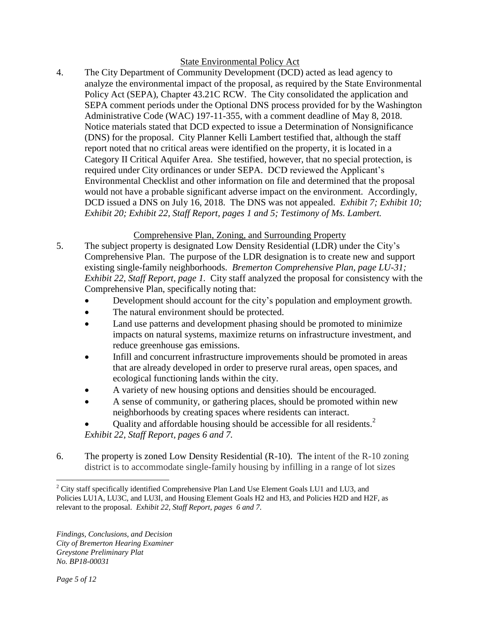### State Environmental Policy Act

4. The City Department of Community Development (DCD) acted as lead agency to analyze the environmental impact of the proposal, as required by the State Environmental Policy Act (SEPA), Chapter 43.21C RCW. The City consolidated the application and SEPA comment periods under the Optional DNS process provided for by the Washington Administrative Code (WAC) 197-11-355, with a comment deadline of May 8, 2018. Notice materials stated that DCD expected to issue a Determination of Nonsignificance (DNS) for the proposal. City Planner Kelli Lambert testified that, although the staff report noted that no critical areas were identified on the property, it is located in a Category II Critical Aquifer Area. She testified, however, that no special protection, is required under City ordinances or under SEPA. DCD reviewed the Applicant's Environmental Checklist and other information on file and determined that the proposal would not have a probable significant adverse impact on the environment. Accordingly, DCD issued a DNS on July 16, 2018. The DNS was not appealed. *Exhibit 7; Exhibit 10; Exhibit 20; Exhibit 22, Staff Report, pages 1 and 5; Testimony of Ms. Lambert.*

# Comprehensive Plan, Zoning, and Surrounding Property

- 5. The subject property is designated Low Density Residential (LDR) under the City's Comprehensive Plan. The purpose of the LDR designation is to create new and support existing single-family neighborhoods. *Bremerton Comprehensive Plan, page LU-31; Exhibit 22, Staff Report, page 1.* City staff analyzed the proposal for consistency with the Comprehensive Plan, specifically noting that:
	- Development should account for the city's population and employment growth.
	- The natural environment should be protected.
	- Land use patterns and development phasing should be promoted to minimize impacts on natural systems, maximize returns on infrastructure investment, and reduce greenhouse gas emissions.
	- Infill and concurrent infrastructure improvements should be promoted in areas that are already developed in order to preserve rural areas, open spaces, and ecological functioning lands within the city.
	- A variety of new housing options and densities should be encouraged.
	- A sense of community, or gathering places, should be promoted within new neighborhoods by creating spaces where residents can interact.
	- Quality and affordable housing should be accessible for all residents.<sup>2</sup> *Exhibit 22, Staff Report, pages 6 and 7.*
- 6. The property is zoned Low Density Residential (R-10). The intent of the R-10 zoning district is to accommodate single-family housing by infilling in a range of lot sizes

 $\overline{a}$ <sup>2</sup> City staff specifically identified Comprehensive Plan Land Use Element Goals LU1 and LU3, and Policies LU1A, LU3C, and LU3I, and Housing Element Goals H2 and H3, and Policies H2D and H2F, as relevant to the proposal. *Exhibit 22, Staff Report, pages 6 and 7.*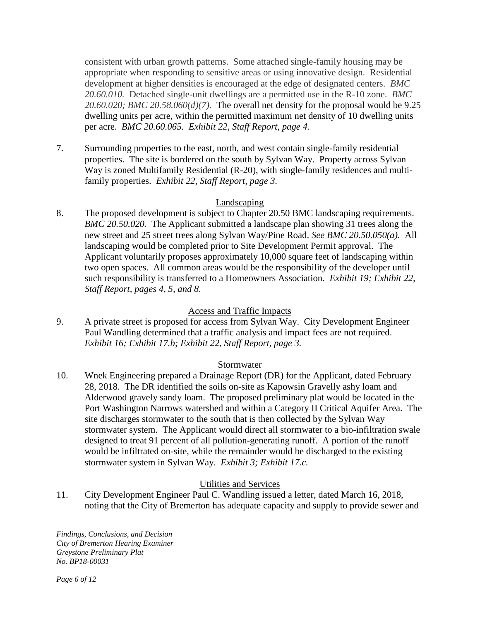consistent with urban growth patterns. Some attached single-family housing may be appropriate when responding to sensitive areas or using innovative design. Residential development at higher densities is encouraged at the edge of designated centers. *BMC 20.60.010.* Detached single-unit dwellings are a permitted use in the R-10 zone. *BMC 20.60.020; BMC 20.58.060(d)(7).* The overall net density for the proposal would be 9.25 dwelling units per acre, within the permitted maximum net density of 10 dwelling units per acre. *BMC 20.60.065. Exhibit 22, Staff Report, page 4.*

7. Surrounding properties to the east, north, and west contain single-family residential properties. The site is bordered on the south by Sylvan Way. Property across Sylvan Way is zoned Multifamily Residential (R-20), with single-family residences and multifamily properties. *Exhibit 22, Staff Report, page 3.* 

# Landscaping

8. The proposed development is subject to Chapter 20.50 BMC landscaping requirements. *BMC 20.50.020.* The Applicant submitted a landscape plan showing 31 trees along the new street and 25 street trees along Sylvan Way/Pine Road. *See BMC 20.50.050(a).* All landscaping would be completed prior to Site Development Permit approval. The Applicant voluntarily proposes approximately 10,000 square feet of landscaping within two open spaces. All common areas would be the responsibility of the developer until such responsibility is transferred to a Homeowners Association. *Exhibit 19; Exhibit 22, Staff Report, pages 4, 5, and 8.*

# Access and Traffic Impacts

9. A private street is proposed for access from Sylvan Way. City Development Engineer Paul Wandling determined that a traffic analysis and impact fees are not required. *Exhibit 16; Exhibit 17.b; Exhibit 22, Staff Report, page 3.* 

### Stormwater

10. Wnek Engineering prepared a Drainage Report (DR) for the Applicant, dated February 28, 2018. The DR identified the soils on-site as Kapowsin Gravelly ashy loam and Alderwood gravely sandy loam. The proposed preliminary plat would be located in the Port Washington Narrows watershed and within a Category II Critical Aquifer Area. The site discharges stormwater to the south that is then collected by the Sylvan Way stormwater system. The Applicant would direct all stormwater to a bio-infiltration swale designed to treat 91 percent of all pollution-generating runoff. A portion of the runoff would be infiltrated on-site, while the remainder would be discharged to the existing stormwater system in Sylvan Way. *Exhibit 3; Exhibit 17.c.*

# Utilities and Services

11. City Development Engineer Paul C. Wandling issued a letter, dated March 16, 2018, noting that the City of Bremerton has adequate capacity and supply to provide sewer and

*Findings, Conclusions, and Decision City of Bremerton Hearing Examiner Greystone Preliminary Plat No. BP18-00031*

*Page 6 of 12*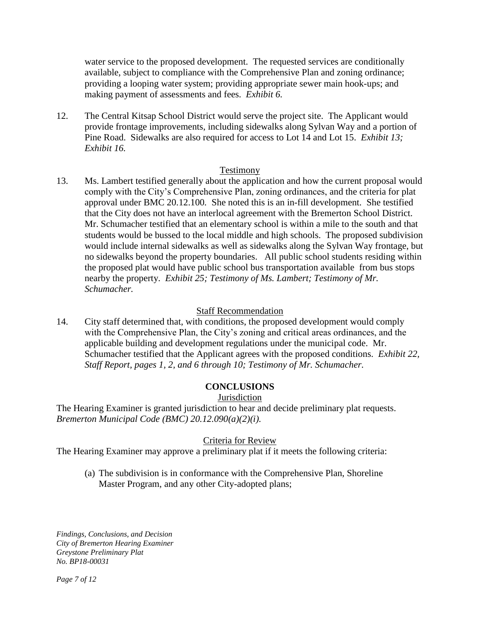water service to the proposed development. The requested services are conditionally available, subject to compliance with the Comprehensive Plan and zoning ordinance; providing a looping water system; providing appropriate sewer main hook-ups; and making payment of assessments and fees. *Exhibit 6.* 

12. The Central Kitsap School District would serve the project site. The Applicant would provide frontage improvements, including sidewalks along Sylvan Way and a portion of Pine Road. Sidewalks are also required for access to Lot 14 and Lot 15. *Exhibit 13; Exhibit 16.* 

#### Testimony

13. Ms. Lambert testified generally about the application and how the current proposal would comply with the City's Comprehensive Plan, zoning ordinances, and the criteria for plat approval under BMC 20.12.100*.* She noted this is an in-fill development. She testified that the City does not have an interlocal agreement with the Bremerton School District. Mr. Schumacher testified that an elementary school is within a mile to the south and that students would be bussed to the local middle and high schools. The proposed subdivision would include internal sidewalks as well as sidewalks along the Sylvan Way frontage, but no sidewalks beyond the property boundaries. All public school students residing within the proposed plat would have public school bus transportation available from bus stops nearby the property. *Exhibit 25; Testimony of Ms. Lambert; Testimony of Mr. Schumacher.*

### Staff Recommendation

14. City staff determined that, with conditions, the proposed development would comply with the Comprehensive Plan, the City's zoning and critical areas ordinances, and the applicable building and development regulations under the municipal code. Mr. Schumacher testified that the Applicant agrees with the proposed conditions. *Exhibit 22, Staff Report, pages 1, 2, and 6 through 10; Testimony of Mr. Schumacher.* 

#### **CONCLUSIONS**

#### **Jurisdiction**

The Hearing Examiner is granted jurisdiction to hear and decide preliminary plat requests. *Bremerton Municipal Code (BMC) 20.12.090(a)(2)(i).* 

#### Criteria for Review

The Hearing Examiner may approve a preliminary plat if it meets the following criteria:

(a) The subdivision is in conformance with the Comprehensive Plan, Shoreline Master Program, and any other City-adopted plans;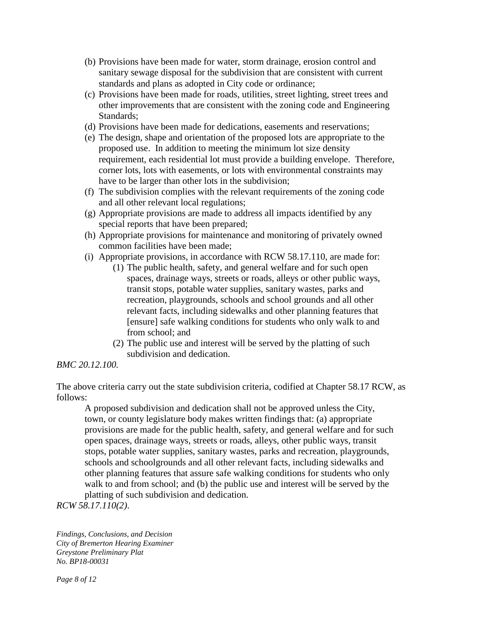- (b) Provisions have been made for water, storm drainage, erosion control and sanitary sewage disposal for the subdivision that are consistent with current standards and plans as adopted in City code or ordinance;
- (c) Provisions have been made for roads, utilities, street lighting, street trees and other improvements that are consistent with the zoning code and Engineering Standards;
- (d) Provisions have been made for dedications, easements and reservations;
- (e) The design, shape and orientation of the proposed lots are appropriate to the proposed use. In addition to meeting the minimum lot size density requirement, each residential lot must provide a building envelope. Therefore, corner lots, lots with easements, or lots with environmental constraints may have to be larger than other lots in the subdivision;
- (f) The subdivision complies with the relevant requirements of the zoning code and all other relevant local regulations;
- (g) Appropriate provisions are made to address all impacts identified by any special reports that have been prepared;
- (h) Appropriate provisions for maintenance and monitoring of privately owned common facilities have been made;
- (i) Appropriate provisions, in accordance with RCW 58.17.110, are made for:
	- (1) The public health, safety, and general welfare and for such open spaces, drainage ways, streets or roads, alleys or other public ways, transit stops, potable water supplies, sanitary wastes, parks and recreation, playgrounds, schools and school grounds and all other relevant facts, including sidewalks and other planning features that [ensure] safe walking conditions for students who only walk to and from school; and
	- (2) The public use and interest will be served by the platting of such subdivision and dedication.

### *BMC 20.12.100.*

The above criteria carry out the state subdivision criteria, codified at Chapter 58.17 RCW, as follows:

A proposed subdivision and dedication shall not be approved unless the City, town, or county legislature body makes written findings that: (a) appropriate provisions are made for the public health, safety, and general welfare and for such open spaces, drainage ways, streets or roads, alleys, other public ways, transit stops, potable water supplies, sanitary wastes, parks and recreation, playgrounds, schools and schoolgrounds and all other relevant facts, including sidewalks and other planning features that assure safe walking conditions for students who only walk to and from school; and (b) the public use and interest will be served by the platting of such subdivision and dedication.

*RCW 58.17.110(2)*.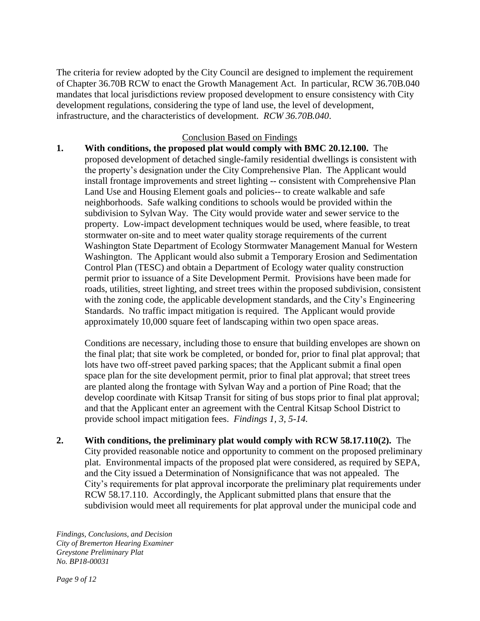The criteria for review adopted by the City Council are designed to implement the requirement of Chapter 36.70B RCW to enact the Growth Management Act. In particular, RCW 36.70B.040 mandates that local jurisdictions review proposed development to ensure consistency with City development regulations, considering the type of land use, the level of development, infrastructure, and the characteristics of development. *RCW 36.70B.040*.

### Conclusion Based on Findings

**1. With conditions, the proposed plat would comply with BMC 20.12.100.** The proposed development of detached single-family residential dwellings is consistent with the property's designation under the City Comprehensive Plan. The Applicant would install frontage improvements and street lighting -- consistent with Comprehensive Plan Land Use and Housing Element goals and policies-- to create walkable and safe neighborhoods. Safe walking conditions to schools would be provided within the subdivision to Sylvan Way. The City would provide water and sewer service to the property. Low-impact development techniques would be used, where feasible, to treat stormwater on-site and to meet water quality storage requirements of the current Washington State Department of Ecology Stormwater Management Manual for Western Washington. The Applicant would also submit a Temporary Erosion and Sedimentation Control Plan (TESC) and obtain a Department of Ecology water quality construction permit prior to issuance of a Site Development Permit. Provisions have been made for roads, utilities, street lighting, and street trees within the proposed subdivision, consistent with the zoning code, the applicable development standards, and the City's Engineering Standards. No traffic impact mitigation is required. The Applicant would provide approximately 10,000 square feet of landscaping within two open space areas.

Conditions are necessary, including those to ensure that building envelopes are shown on the final plat; that site work be completed, or bonded for, prior to final plat approval; that lots have two off-street paved parking spaces; that the Applicant submit a final open space plan for the site development permit, prior to final plat approval; that street trees are planted along the frontage with Sylvan Way and a portion of Pine Road; that the develop coordinate with Kitsap Transit for siting of bus stops prior to final plat approval; and that the Applicant enter an agreement with the Central Kitsap School District to provide school impact mitigation fees. *Findings 1, 3, 5-14.* 

**2. With conditions, the preliminary plat would comply with RCW 58.17.110(2).** The City provided reasonable notice and opportunity to comment on the proposed preliminary plat. Environmental impacts of the proposed plat were considered, as required by SEPA, and the City issued a Determination of Nonsignificance that was not appealed. The City's requirements for plat approval incorporate the preliminary plat requirements under RCW 58.17.110. Accordingly, the Applicant submitted plans that ensure that the subdivision would meet all requirements for plat approval under the municipal code and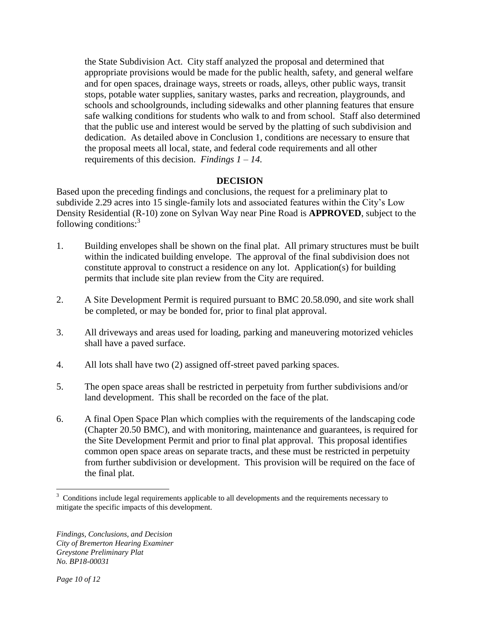the State Subdivision Act. City staff analyzed the proposal and determined that appropriate provisions would be made for the public health, safety, and general welfare and for open spaces, drainage ways, streets or roads, alleys, other public ways, transit stops, potable water supplies, sanitary wastes, parks and recreation, playgrounds, and schools and schoolgrounds, including sidewalks and other planning features that ensure safe walking conditions for students who walk to and from school. Staff also determined that the public use and interest would be served by the platting of such subdivision and dedication. As detailed above in Conclusion 1, conditions are necessary to ensure that the proposal meets all local, state, and federal code requirements and all other requirements of this decision. *Findings 1 – 14.*

# **DECISION**

Based upon the preceding findings and conclusions, the request for a preliminary plat to subdivide 2.29 acres into 15 single-family lots and associated features within the City's Low Density Residential (R-10) zone on Sylvan Way near Pine Road is **APPROVED**, subject to the following conditions: $3$ 

- 1. Building envelopes shall be shown on the final plat. All primary structures must be built within the indicated building envelope. The approval of the final subdivision does not constitute approval to construct a residence on any lot. Application(s) for building permits that include site plan review from the City are required.
- 2. A Site Development Permit is required pursuant to BMC 20.58.090, and site work shall be completed, or may be bonded for, prior to final plat approval.
- 3. All driveways and areas used for loading, parking and maneuvering motorized vehicles shall have a paved surface.
- 4. All lots shall have two (2) assigned off-street paved parking spaces.
- 5. The open space areas shall be restricted in perpetuity from further subdivisions and/or land development. This shall be recorded on the face of the plat.
- 6. A final Open Space Plan which complies with the requirements of the landscaping code (Chapter 20.50 BMC), and with monitoring, maintenance and guarantees, is required for the Site Development Permit and prior to final plat approval. This proposal identifies common open space areas on separate tracts, and these must be restricted in perpetuity from further subdivision or development. This provision will be required on the face of the final plat.

<sup>&</sup>lt;sup>3</sup> Conditions include legal requirements applicable to all developments and the requirements necessary to mitigate the specific impacts of this development.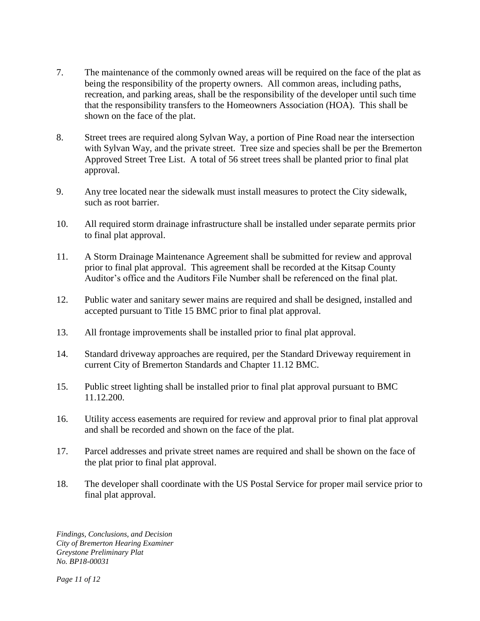- 7. The maintenance of the commonly owned areas will be required on the face of the plat as being the responsibility of the property owners. All common areas, including paths, recreation, and parking areas, shall be the responsibility of the developer until such time that the responsibility transfers to the Homeowners Association (HOA). This shall be shown on the face of the plat.
- 8. Street trees are required along Sylvan Way, a portion of Pine Road near the intersection with Sylvan Way, and the private street. Tree size and species shall be per the Bremerton Approved Street Tree List. A total of 56 street trees shall be planted prior to final plat approval.
- 9. Any tree located near the sidewalk must install measures to protect the City sidewalk, such as root barrier.
- 10. All required storm drainage infrastructure shall be installed under separate permits prior to final plat approval.
- 11. A Storm Drainage Maintenance Agreement shall be submitted for review and approval prior to final plat approval. This agreement shall be recorded at the Kitsap County Auditor's office and the Auditors File Number shall be referenced on the final plat.
- 12. Public water and sanitary sewer mains are required and shall be designed, installed and accepted pursuant to Title 15 BMC prior to final plat approval.
- 13. All frontage improvements shall be installed prior to final plat approval.
- 14. Standard driveway approaches are required, per the Standard Driveway requirement in current City of Bremerton Standards and Chapter 11.12 BMC.
- 15. Public street lighting shall be installed prior to final plat approval pursuant to BMC 11.12.200.
- 16. Utility access easements are required for review and approval prior to final plat approval and shall be recorded and shown on the face of the plat.
- 17. Parcel addresses and private street names are required and shall be shown on the face of the plat prior to final plat approval.
- 18. The developer shall coordinate with the US Postal Service for proper mail service prior to final plat approval.